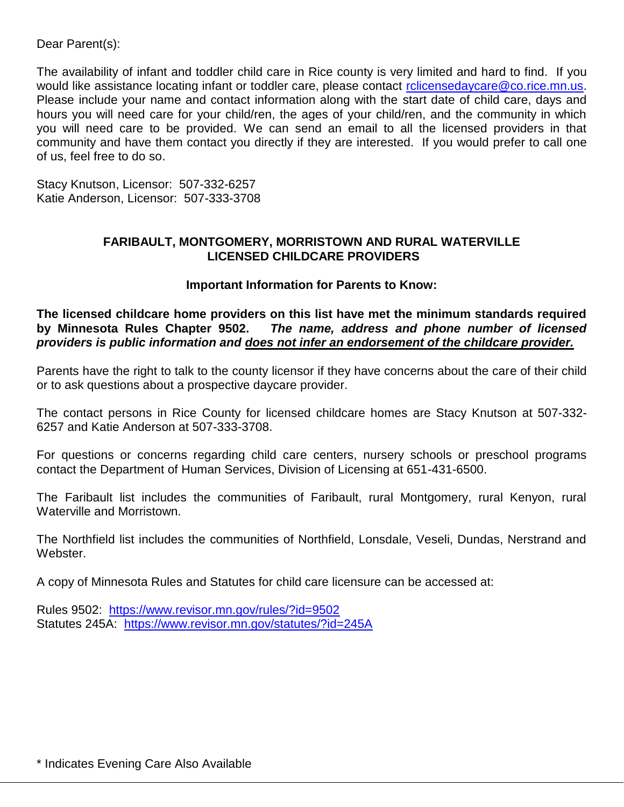Dear Parent(s):

The availability of infant and toddler child care in Rice county is very limited and hard to find. If you would like assistance locating infant or toddler care, please contact rolicensedaycare@co.rice.mn.us. Please include your name and contact information along with the start date of child care, days and hours you will need care for your child/ren, the ages of your child/ren, and the community in which you will need care to be provided. We can send an email to all the licensed providers in that community and have them contact you directly if they are interested. If you would prefer to call one of us, feel free to do so.

Stacy Knutson, Licensor: 507-332-6257 Katie Anderson, Licensor: 507-333-3708

# **FARIBAULT, MONTGOMERY, MORRISTOWN AND RURAL WATERVILLE LICENSED CHILDCARE PROVIDERS**

# **Important Information for Parents to Know:**

**The licensed childcare home providers on this list have met the minimum standards required by Minnesota Rules Chapter 9502.** *The name, address and phone number of licensed providers is public information and does not infer an endorsement of the childcare provider.* 

Parents have the right to talk to the county licensor if they have concerns about the care of their child or to ask questions about a prospective daycare provider.

The contact persons in Rice County for licensed childcare homes are Stacy Knutson at 507-332- 6257 and Katie Anderson at 507-333-3708.

For questions or concerns regarding child care centers, nursery schools or preschool programs contact the Department of Human Services, Division of Licensing at 651-431-6500.

The Faribault list includes the communities of Faribault, rural Montgomery, rural Kenyon, rural Waterville and Morristown.

The Northfield list includes the communities of Northfield, Lonsdale, Veseli, Dundas, Nerstrand and Webster.

A copy of Minnesota Rules and Statutes for child care licensure can be accessed at:

Rules 9502: <https://www.revisor.mn.gov/rules/?id=9502> Statutes 245A: <https://www.revisor.mn.gov/statutes/?id=245A>

\* Indicates Evening Care Also Available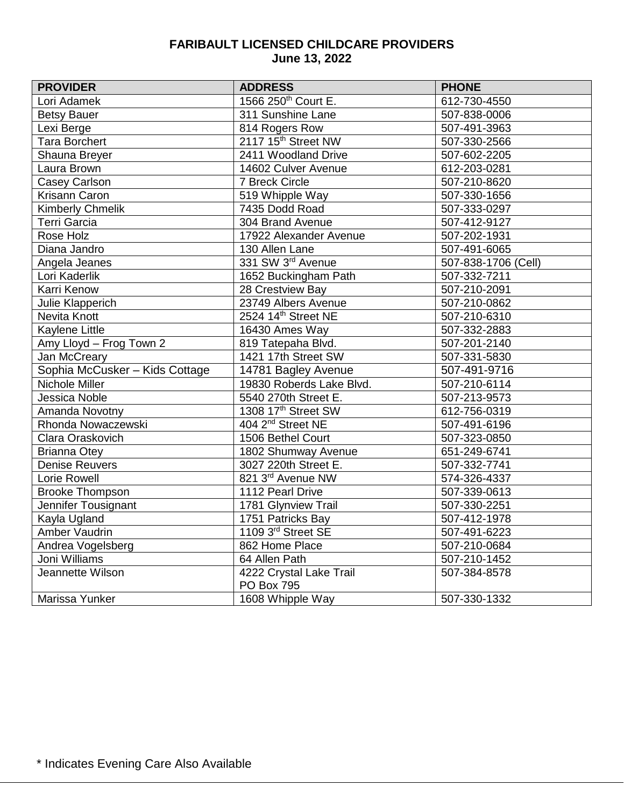# **FARIBAULT LICENSED CHILDCARE PROVIDERS June 13, 2022**

| <b>PROVIDER</b>                | <b>ADDRESS</b>                  | <b>PHONE</b>        |
|--------------------------------|---------------------------------|---------------------|
| Lori Adamek                    | 1566 250 <sup>th</sup> Court E. | 612-730-4550        |
| <b>Betsy Bauer</b>             | 311 Sunshine Lane               | 507-838-0006        |
| Lexi Berge                     | 814 Rogers Row                  | 507-491-3963        |
| <b>Tara Borchert</b>           | 2117 15th Street NW             | 507-330-2566        |
| Shauna Breyer                  | 2411 Woodland Drive             | 507-602-2205        |
| Laura Brown                    | 14602 Culver Avenue             | 612-203-0281        |
| <b>Casey Carlson</b>           | 7 Breck Circle                  | 507-210-8620        |
| Krisann Caron                  | 519 Whipple Way                 | 507-330-1656        |
| Kimberly Chmelik               | 7435 Dodd Road                  | 507-333-0297        |
| <b>Terri Garcia</b>            | 304 Brand Avenue                | 507-412-9127        |
| Rose Holz                      | 17922 Alexander Avenue          | 507-202-1931        |
| Diana Jandro                   | 130 Allen Lane                  | 507-491-6065        |
| Angela Jeanes                  | 331 SW 3rd Avenue               | 507-838-1706 (Cell) |
| Lori Kaderlik                  | 1652 Buckingham Path            | 507-332-7211        |
| Karri Kenow                    | 28 Crestview Bay                | 507-210-2091        |
| Julie Klapperich               | 23749 Albers Avenue             | 507-210-0862        |
| Nevita Knott                   | 2524 14th Street NE             | 507-210-6310        |
| Kaylene Little                 | 16430 Ames Way                  | 507-332-2883        |
| Amy Lloyd - Frog Town 2        | 819 Tatepaha Blvd.              | 507-201-2140        |
| Jan McCreary                   | 1421 17th Street SW             | 507-331-5830        |
| Sophia McCusker - Kids Cottage | 14781 Bagley Avenue             | 507-491-9716        |
| Nichole Miller                 | 19830 Roberds Lake Blvd.        | 507-210-6114        |
| Jessica Noble                  | 5540 270th Street E.            | 507-213-9573        |
| Amanda Novotny                 | 1308 17th Street SW             | 612-756-0319        |
| Rhonda Nowaczewski             | 404 2 <sup>nd</sup> Street NE   | 507-491-6196        |
| Clara Oraskovich               | 1506 Bethel Court               | 507-323-0850        |
| <b>Brianna Otey</b>            | 1802 Shumway Avenue             | 651-249-6741        |
| <b>Denise Reuvers</b>          | 3027 220th Street E.            | 507-332-7741        |
| Lorie Rowell                   | 821 3rd Avenue NW               | 574-326-4337        |
| <b>Brooke Thompson</b>         | 1112 Pearl Drive                | 507-339-0613        |
| Jennifer Tousignant            | 1781 Glynview Trail             | 507-330-2251        |
| Kayla Ugland                   | 1751 Patricks Bay               | 507-412-1978        |
| Amber Vaudrin                  | 1109 3rd Street SE              | 507-491-6223        |
| Andrea Vogelsberg              | 862 Home Place                  | 507-210-0684        |
| Joni Williams                  | 64 Allen Path                   | 507-210-1452        |
| Jeannette Wilson               | 4222 Crystal Lake Trail         | 507-384-8578        |
|                                | PO Box 795                      |                     |
| Marissa Yunker                 | 1608 Whipple Way                | 507-330-1332        |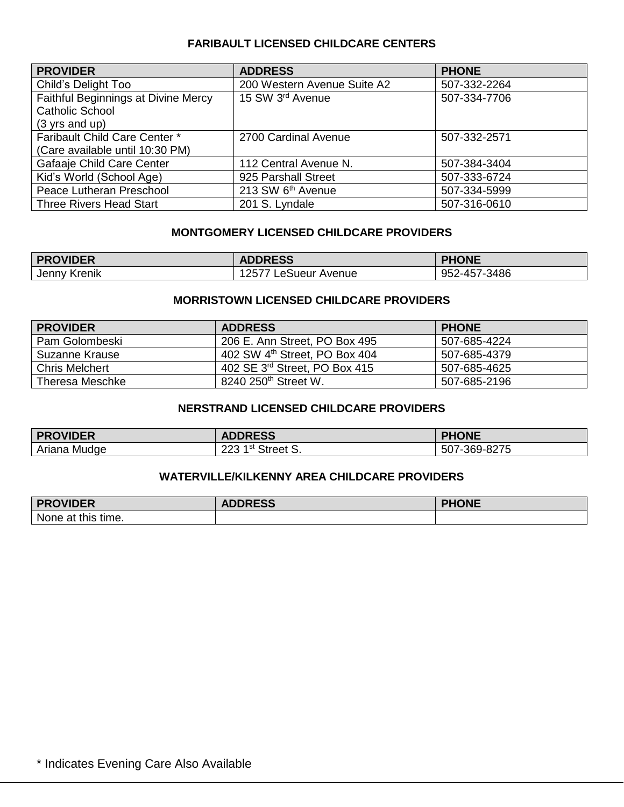## **FARIBAULT LICENSED CHILDCARE CENTERS**

| <b>PROVIDER</b>                     | <b>ADDRESS</b>              | <b>PHONE</b> |
|-------------------------------------|-----------------------------|--------------|
| Child's Delight Too                 | 200 Western Avenue Suite A2 | 507-332-2264 |
| Faithful Beginnings at Divine Mercy | 15 SW 3rd Avenue            | 507-334-7706 |
| Catholic School                     |                             |              |
| $(3 \text{ yrs and up})$            |                             |              |
| Faribault Child Care Center *       | 2700 Cardinal Avenue        | 507-332-2571 |
| (Care available until 10:30 PM)     |                             |              |
| Gafaaje Child Care Center           | 112 Central Avenue N.       | 507-384-3404 |
| Kid's World (School Age)            | 925 Parshall Street         | 507-333-6724 |
| Peace Lutheran Preschool            | 213 SW 6th Avenue           | 507-334-5999 |
| <b>Three Rivers Head Start</b>      | 201 S. Lyndale              | 507-316-0610 |

# **MONTGOMERY LICENSED CHILDCARE PROVIDERS**

| <b>PROVIDER</b> | <b>ADDRESS</b>          | <b>PHONE</b> |
|-----------------|-------------------------|--------------|
| Jenny Krenik    | LeSueur Avenue<br>12577 | 952-457-3486 |

## **MORRISTOWN LICENSED CHILDCARE PROVIDERS**

| <b>PROVIDER</b>       | <b>ADDRESS</b>                            | <b>PHONE</b> |
|-----------------------|-------------------------------------------|--------------|
| Pam Golombeski        | 206 E. Ann Street, PO Box 495             | 507-685-4224 |
| Suzanne Krause        | 402 SW 4 <sup>th</sup> Street, PO Box 404 | 507-685-4379 |
| <b>Chris Melchert</b> | 402 SE 3 <sup>rd</sup> Street, PO Box 415 | 507-685-4625 |
| Theresa Meschke       | 8240 250 <sup>th</sup> Street W.          | 507-685-2196 |

# **NERSTRAND LICENSED CHILDCARE PROVIDERS**

| <b>PROVIDER</b> | <b>ADDRESS</b>                | <b>PHONE</b> |
|-----------------|-------------------------------|--------------|
| Ariana Mudge    | 223 1 <sup>st</sup> Street S. | 507-369-8275 |

#### **WATERVILLE/KILKENNY AREA CHILDCARE PROVIDERS**

| <b>PROVIDER</b>    | <b>ADDRESS</b> | <b>PHONE</b> |
|--------------------|----------------|--------------|
| None at this time. |                |              |